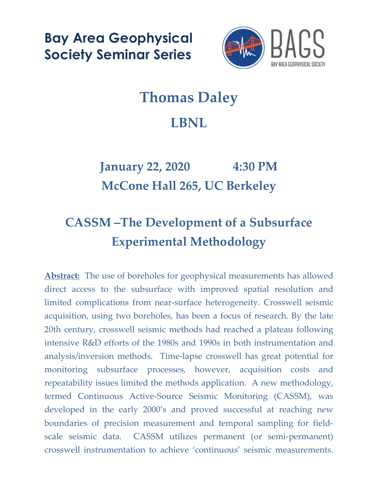**Bay Area Geophysical Society Seminar Series**



## **Thomas Daley LBNL**

## **January 22, 2020 4:30 PM McCone Hall 265, UC Berkeley**

## **CASSM –The Development of a Subsurface Experimental Methodology**

**Abstract:** The use of boreholes for geophysical measurements has allowed direct access to the subsurface with improved spatial resolution and limited complications from near-surface heterogeneity. Crosswell seismic acquisition, using two boreholes, has been a focus of research. By the late 20th century, crosswell seismic methods had reached a plateau following intensive R&D efforts of the 1980s and 1990s in both instrumentation and analysis/inversion methods. Time-lapse crosswell has great potential for monitoring subsurface processes, however, acquisition costs and repeatability issues limited the methods application. A new methodology, termed Continuous Active-Source Seismic Monitoring (CASSM), was developed in the early 2000's and proved successful at reaching new boundaries of precision measurement and temporal sampling for fieldscale seismic data. CASSM utilizes permanent (or semi-permanent) crosswell instrumentation to achieve 'continuous' seismic measurements.